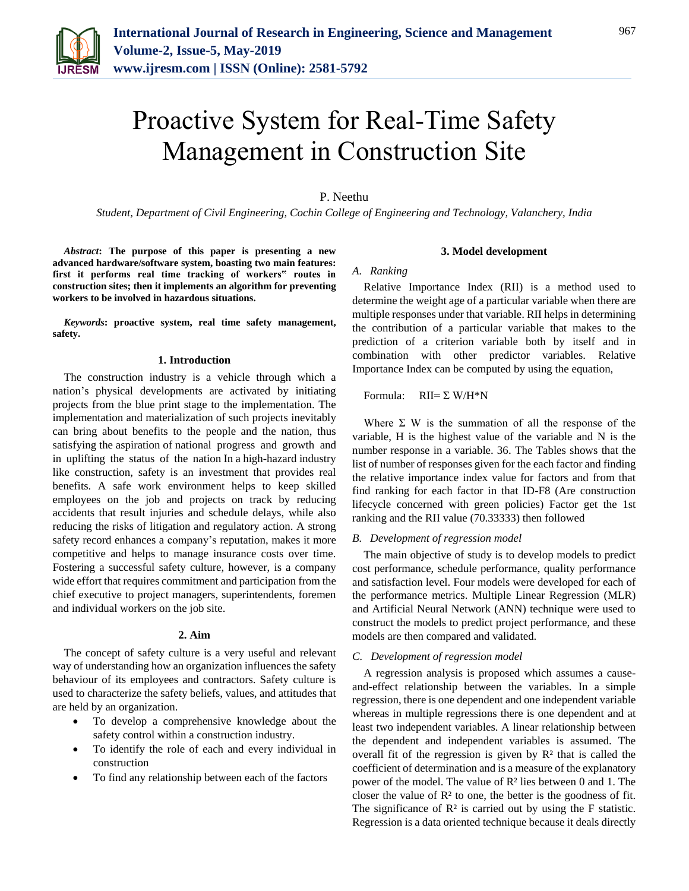

# Proactive System for Real-Time Safety Management in Construction Site

## P. Neethu

*Student, Department of Civil Engineering, Cochin College of Engineering and Technology, Valanchery, India*

*Abstract***: The purpose of this paper is presenting a new advanced hardware/software system, boasting two main features: first it performs real time tracking of workers" routes in construction sites; then it implements an algorithm for preventing workers to be involved in hazardous situations.**

*Keywords***: proactive system, real time safety management, safety.** 

### **1. Introduction**

The construction industry is a vehicle through which a nation's physical developments are activated by initiating projects from the blue print stage to the implementation. The implementation and materialization of such projects inevitably can bring about benefits to the people and the nation, thus satisfying the aspiration of national progress and growth and in uplifting the status of the nation In a high-hazard industry like construction, safety is an investment that provides real benefits. A safe work environment helps to keep skilled employees on the job and projects on track by reducing accidents that result injuries and schedule delays, while also reducing the risks of litigation and regulatory action. A strong safety record enhances a company's reputation, makes it more competitive and helps to manage insurance costs over time. Fostering a successful safety culture, however, is a company wide effort that requires commitment and participation from the chief executive to project managers, superintendents, foremen and individual workers on the job site.

#### **2. Aim**

The concept of safety culture is a very useful and relevant way of understanding how an organization influences the safety behaviour of its employees and contractors. Safety culture is used to characterize the safety beliefs, values, and attitudes that are held by an organization.

- To develop a comprehensive knowledge about the safety control within a construction industry.
- To identify the role of each and every individual in construction
- To find any relationship between each of the factors

#### **3. Model development**

#### *A. Ranking*

Relative Importance Index (RII) is a method used to determine the weight age of a particular variable when there are multiple responses under that variable. RII helps in determining the contribution of a particular variable that makes to the prediction of a criterion variable both by itself and in combination with other predictor variables. Relative Importance Index can be computed by using the equation,

Formula:  $RII = \Sigma W/H^*N$ 

Where  $\Sigma$  W is the summation of all the response of the variable, H is the highest value of the variable and N is the number response in a variable. 36. The Tables shows that the list of number of responses given for the each factor and finding the relative importance index value for factors and from that find ranking for each factor in that ID-F8 (Are construction lifecycle concerned with green policies) Factor get the 1st ranking and the RII value (70.33333) then followed

### *B. Development of regression model*

The main objective of study is to develop models to predict cost performance, schedule performance, quality performance and satisfaction level. Four models were developed for each of the performance metrics. Multiple Linear Regression (MLR) and Artificial Neural Network (ANN) technique were used to construct the models to predict project performance, and these models are then compared and validated.

## *C. Development of regression model*

A regression analysis is proposed which assumes a causeand-effect relationship between the variables. In a simple regression, there is one dependent and one independent variable whereas in multiple regressions there is one dependent and at least two independent variables. A linear relationship between the dependent and independent variables is assumed. The overall fit of the regression is given by  $R<sup>2</sup>$  that is called the coefficient of determination and is a measure of the explanatory power of the model. The value of R² lies between 0 and 1. The closer the value of  $\mathbb{R}^2$  to one, the better is the goodness of fit. The significance of  $\mathbb{R}^2$  is carried out by using the F statistic. Regression is a data oriented technique because it deals directly